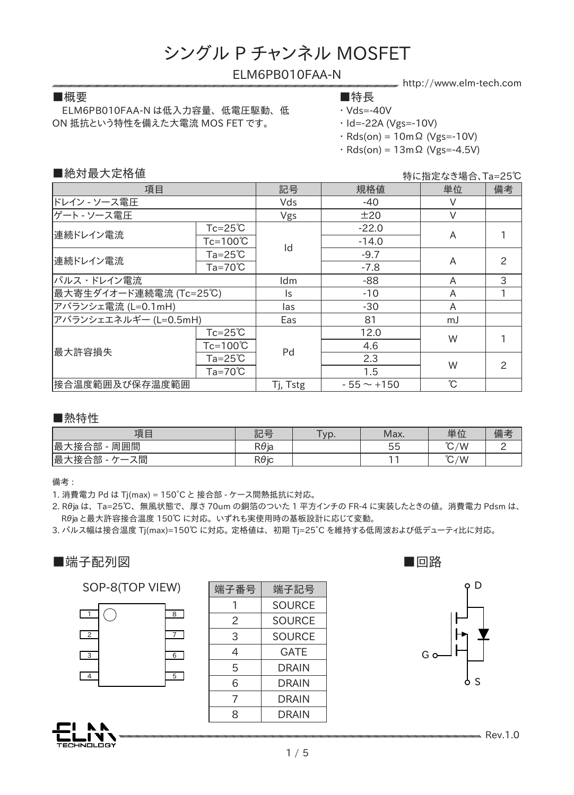### ELM6PB010FAA-N

 ELM6PB010FAA-N は低入力容量、 低電圧駆動、 低 ON 抵抗という特性を備えた大電流 MOS FET です。

#### ■概要 ■特長

http://www.elm-tech.com

- 
- $\cdot$  Vds=-40V
- ・ Id=-22A (Vgs=-10V)
- $\cdot$  Rds(on) = 10m $\Omega$  (Vgs=-10V)  $Rds(on) = 13m\Omega$  (Vgs=-4.5V)
- 

■絶対最大定格値

特に指定なき場合、Ta=25℃

| 項目                     |                    | 記号       | 規格値             | 単位           | 備考            |
|------------------------|--------------------|----------|-----------------|--------------|---------------|
| ドレイン - ソース電圧           |                    | Vds      | -40             |              |               |
| ゲート - ソース電圧            |                    | Vgs      | ±20             | $\vee$       |               |
| 連続ドレイン電流               | $Tc = 25^{\circ}C$ |          | $-22.0$         | A            |               |
|                        | Tc=100℃            | Id       | $-14.0$         |              |               |
| 連続ドレイン電流               | $Ta = 25^{\circ}C$ |          | $-9.7$          | A            | $\mathcal{P}$ |
|                        | $Ta = 70^{\circ}C$ |          | $-7.8$          |              |               |
| パルス・ドレイン電流             |                    | ldm      | -88             | A            | 3             |
| 最大寄生ダイオード連続電流 (Tc=25℃) |                    | ls.      | $-10$           | A            |               |
| アバランシェ電流 (L=0.1mH)     |                    | las      | $-30$           | A            |               |
| アバランシェエネルギー (L=0.5mH)  |                    | Eas      | 81              | mJ           |               |
| 最大許容損失                 | $Tc = 25^{\circ}C$ | Pd       | 12.0            | W            |               |
|                        | $Tc=100^{\circ}C$  |          | 4.6             |              |               |
|                        | $Ta = 25^{\circ}C$ |          | 2.3             | W            | $\mathcal{P}$ |
|                        | $Ta=70^{\circ}C$   |          | 1.5             |              |               |
| 接合温度範囲及び保存温度範囲         |                    | Tj, Tstg | $-55 \sim +150$ | $\mathrm{C}$ |               |

■熱特性

| 項目               | 記号           | Typ. | Max. | 単位            | 備考 |
|------------------|--------------|------|------|---------------|----|
| 撮っ<br>接合部<br>周囲間 | $R\theta$ ja |      | 55   | $\degree C/W$ |    |
| 最っ<br>接合部<br>ス間  | $R\theta$ ic |      |      | $\degree$ C/W |    |

備考 :

1. 消費電力 Pd は Tj(max) = 150°C と 接合部 - ケース間熱抵抗に対応。

2. Rθja は、 Ta=25℃、 無風状態で、 厚さ 70um の銅箔のついた 1 平方インチの FR-4 に実装したときの値。 消費電力 Pdsm は、 Rθja と最大許容接合温度 150℃ に対応。 いずれも実使用時の基板設計に応じて変動。

3. パルス幅は接合温度 Tj(max)=150℃ に対応。 定格値は、 初期 Tj=25°C を維持する低周波および低デューティ比に対応。



#### SOP-8(TOP VIEW)



JOLOGY

| 端子番号 | 端子記号          |  |  |
|------|---------------|--|--|
|      | <b>SOURCE</b> |  |  |
| 2    | <b>SOURCE</b> |  |  |
| 3    | SOURCE        |  |  |
| 4    | GATE          |  |  |
| 5    | DRAIN         |  |  |
| 6    | <b>DRAIN</b>  |  |  |
| 7    | DRAIN         |  |  |
| 8    | DRAIN         |  |  |
|      |               |  |  |





**Rev.1.0**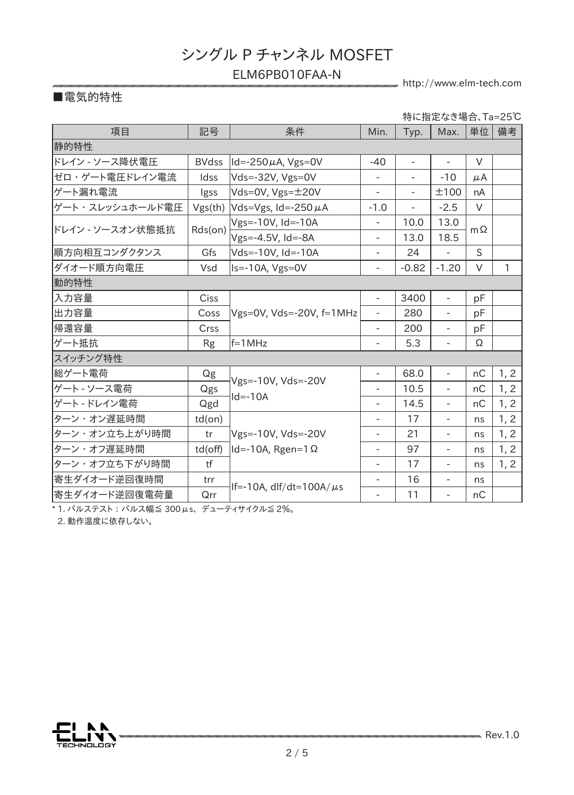### ELM6PB010FAA-N

http://www.elm-tech.com

### ■電気的特性

項目 | 記号 | 条件 | Min. | Typ. | Max. |単位 | 備考 静的特性 ドレイン - ソース降伏電圧 | BVdss |ld=-250μA, Vgs=0V | -40 | - | - | V ゼロ・ゲート電圧ドレイン電流 | Idss |Vds=-32V, Vgs=0V | - | - | -10 | μA ゲート漏れ電流 | Igss |Vds=0V, Vgs= $\pm$ 20V | - | - |  $\pm$ 100 | nA ゲート・スレッシュホールド電圧|Vgs(th) |Vds=Vgs, Id=-250 μA | -1.0 | - | -2.5 | V ドレイン - ソースオン状態抵抗 Rds(on) Vgs=-10V, Id=-10A - 2000 - 2000 - 13.0 13.0<br>Vgs=-4.5V, Id=-8A - 2000 - 18.5 mΩ Vgs=-4.5V, Id=-8A |順方向相互コンダクタンス | Gfs |Vds=-10V, Id=-10A | - | 24 | - | S \_ダイオード順方向電圧 | Vsd |Is=-10A, Vgs=0V | - | -0.82 | -1.20 | V | 1 動的特性 入力容量 Ciss 出力容量 | Coss |Vgs=0V, Vds=-20V, f=1MHz | - | 280 | - | pF - 3400 | - | pF 帰還容量 | Crss | | - | 200 | - | pF ゲート抵抗 Rg f=1MHz - 5.3 - Ω スイッチング特性 総ゲート電荷 Qg Vgs=-10V, Vds=-20V  $Id = -10A$  $68.0$  -  $nc$  1, 2 ゲート - ソース電荷 | Qgs |<sup>v</sup> s<sup>3—</sup> 10v, vus<sup>二</sup> 40v | - | 10.5 | - | nC | 1, 2 ゲート - ドレイン電荷 | Qgd |<sup>'</sub>'' ' '' '' | - | 14.5 | - | nC | 1, 2</sup> ターン・オン遅延時間 | td(on) Vgs=-10V, Vds=-20V ターン・オフ遅延時間 | td(off) |ld=-10A, Rgen=1Ω | - | 97 | - | ns | 1, 2  $-$  17 |  $-$  | ns | 1, 2 ターン・オン立ち上がり時間 | tr |Vgs=-10V, Vds=-20V | - | 21 | - | ns | 1, 2 ターン・オフ立ち下がり時間 | tf | | - | 17 | - | ns | 1, 2 | 寄生ダイオード逆回復時間 | trr  $\left| \frac{\text{If} -10\text{A, diff/dt} = 100\text{A/}\mu\text{s}}{1 - \frac{16}{11}} \right|$  - ns |寄生ダイオード逆回復電荷量 | Qrr -特に指定なき場合、Ta=25℃

\* 1. パルステスト : パルス幅� 300μs、 デューティサイクル≦ 2%。

2. 動作温度に依存しない。

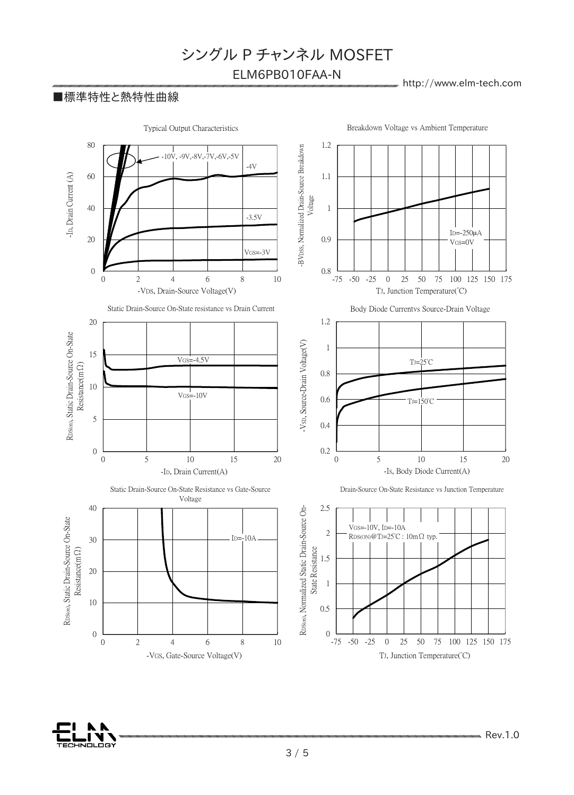ELM6PB010FAA-N

 $R_{\text{R}}$ http://www.elm-tech.com

### ■標準特性と熱特性曲線

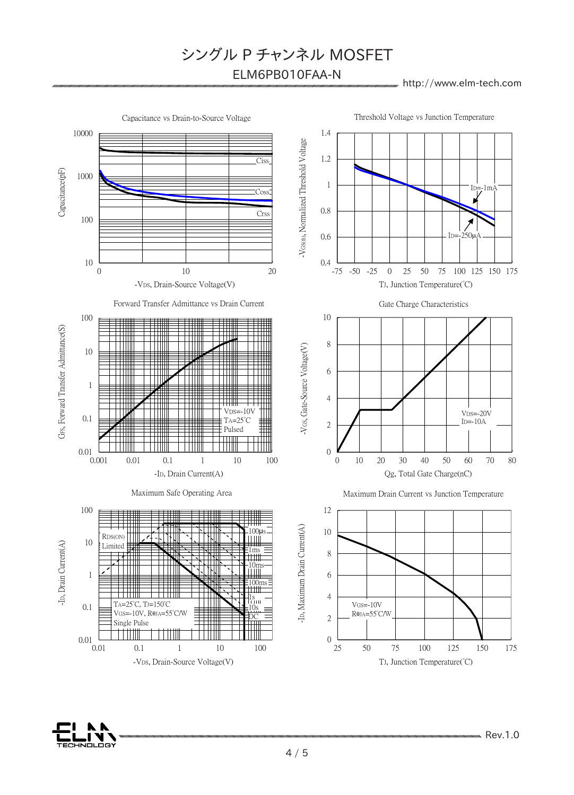ELM6PB010FAA-N

#### http://www.elm-tech.com



VOLOGY